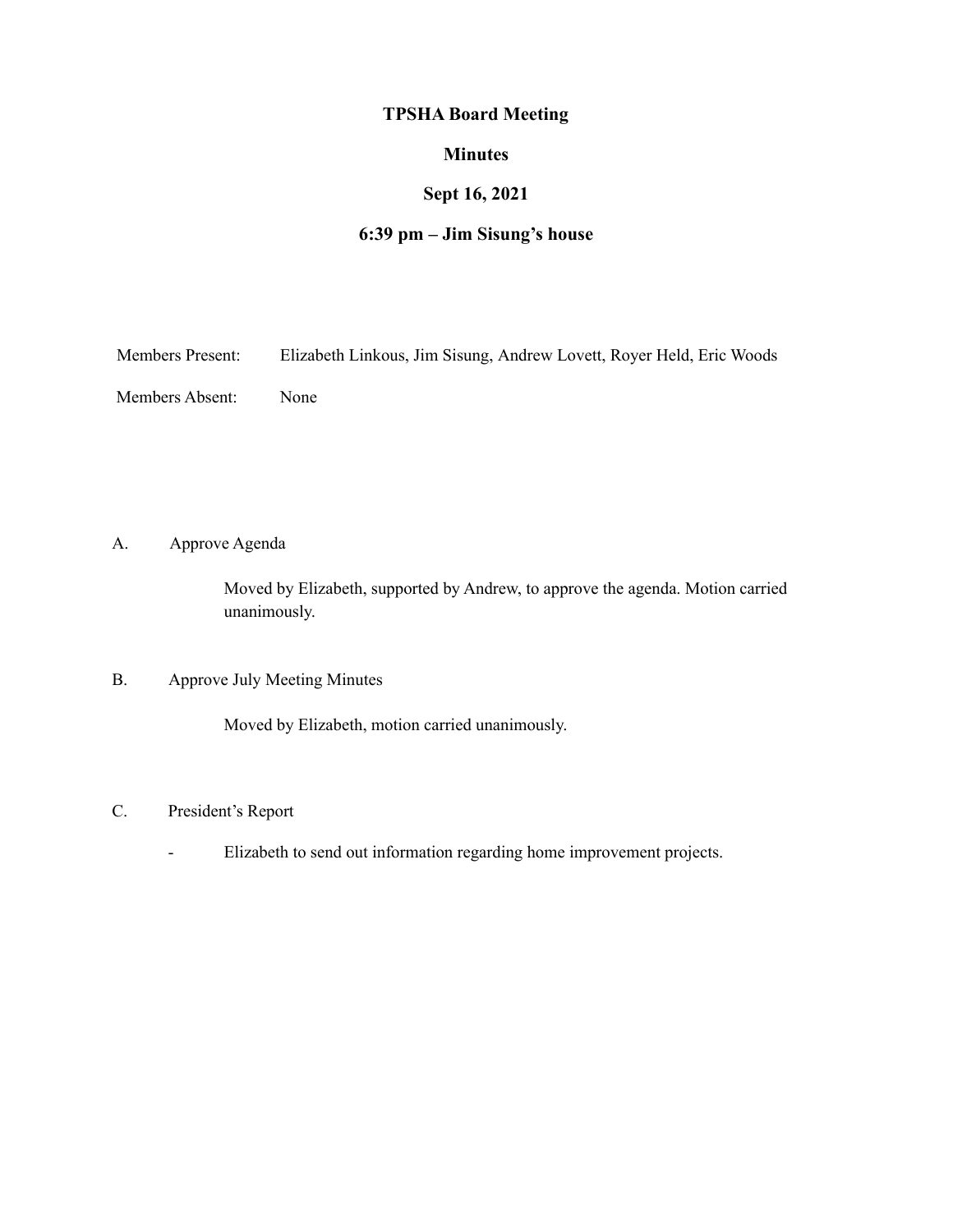## **TPSHA Board Meeting**

### **Minutes**

# **Sept 16, 2021**

# **6:39 pm – Jim Sisung's house**

Members Present: Elizabeth Linkous, Jim Sisung, Andrew Lovett, Royer Held, Eric Woods

Members Absent: None

A. Approve Agenda

Moved by Elizabeth, supported by Andrew, to approve the agenda. Motion carried unanimously.

### B. Approve July Meeting Minutes

Moved by Elizabeth, motion carried unanimously.

#### C. President's Report

- Elizabeth to send out information regarding home improvement projects.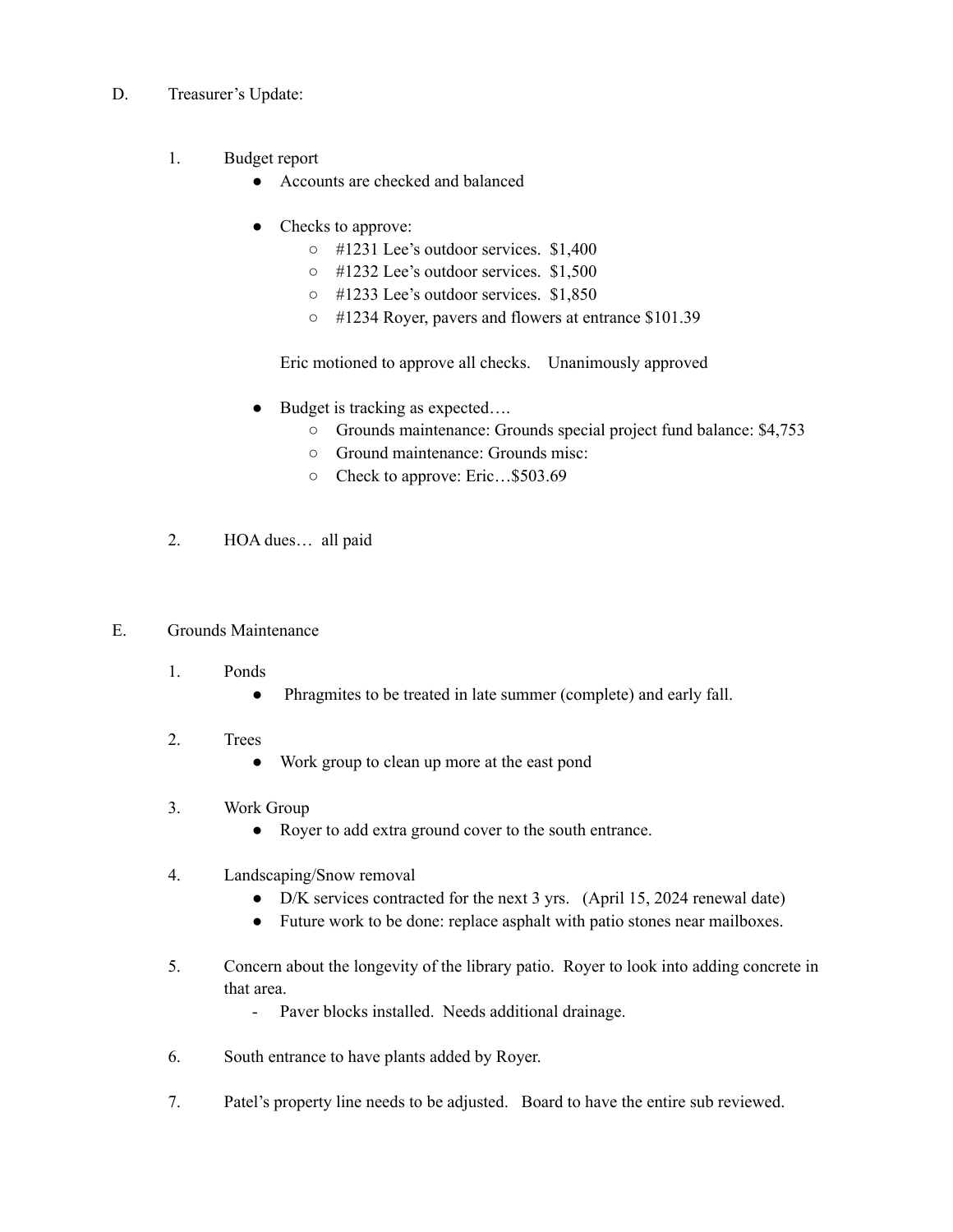- D. Treasurer's Update:
	- 1. Budget report
		- Accounts are checked and balanced
		- Checks to approve:
			- #1231 Lee's outdoor services. \$1,400
			- #1232 Lee's outdoor services. \$1,500
			- #1233 Lee's outdoor services. \$1,850
			- #1234 Royer, pavers and flowers at entrance \$101.39

Eric motioned to approve all checks. Unanimously approved

- Budget is tracking as expected....
	- Grounds maintenance: Grounds special project fund balance: \$4,753
	- Ground maintenance: Grounds misc:
	- Check to approve: Eric…\$503.69
- 2. HOA dues… all paid
- E. Grounds Maintenance
	- 1. Ponds
		- Phragmites to be treated in late summer (complete) and early fall.
	- 2. Trees
		- Work group to clean up more at the east pond
	- 3. Work Group
		- Royer to add extra ground cover to the south entrance.
	- 4. Landscaping/Snow removal
		- D/K services contracted for the next 3 yrs. (April 15, 2024 renewal date)
		- Future work to be done: replace asphalt with patio stones near mailboxes.
	- 5. Concern about the longevity of the library patio. Royer to look into adding concrete in that area.
		- Paver blocks installed. Needs additional drainage.
	- 6. South entrance to have plants added by Royer.
	- 7. Patel's property line needs to be adjusted. Board to have the entire sub reviewed.